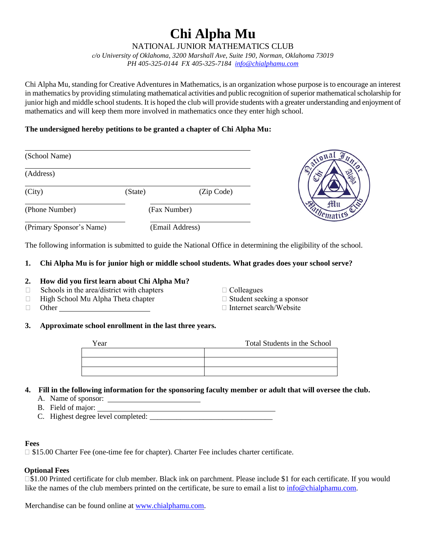# **Chi Alpha Mu**

NATIONAL JUNIOR MATHEMATICS CLUB

*c/o University of Oklahoma, 3200 Marshall Ave, Suite 190, Norman, Oklahoma 73019 PH 405-325-0144 FX 405-325-7184 [info@chialphamu.com](mailto:info@chialphamu.com)*

Chi Alpha Mu, standing for Creative Adventures in Mathematics, is an organization whose purpose is to encourage an interest in mathematics by providing stimulating mathematical activities and public recognition of superior mathematical scholarship for junior high and middle school students. It is hoped the club will provide students with a greater understanding and enjoyment of mathematics and will keep them more involved in mathematics once they enter high school.

# **The undersigned hereby petitions to be granted a chapter of Chi Alpha Mu:**

| (School Name)            |              |                 | ational 2   |
|--------------------------|--------------|-----------------|-------------|
| (Address)                |              |                 | R           |
| (City)                   | (State)      | (Zip Code)      |             |
| (Phone Number)           | (Fax Number) |                 | <b>ftlu</b> |
| (Primary Sponsor's Name) |              | (Email Address) |             |

The following information is submitted to guide the National Office in determining the eligibility of the school.

## **1. Chi Alpha Mu is for junior high or middle school students. What grades does your school serve?**

# **2. How did you first learn about Chi Alpha Mu?**

- $\Box$  Schools in the area/district with chapters  $\Box$  Colleagues
- ◻ High School Mu Alpha Theta chapter ◻ Student seeking a sponsor
- □ Other □ Internet search/Website
- 
- -

#### **3. Approximate school enrollment in the last three years.**

| Year | Total Students in the School |
|------|------------------------------|
|      |                              |
|      |                              |
|      |                              |

# **4. Fill in the following information for the sponsoring faculty member or adult that will oversee the club.**

- A. Name of sponsor:
- B. Field of major:
- C. Highest degree level completed: \_\_\_\_\_\_\_\_\_\_\_\_\_\_\_\_\_\_\_\_\_\_\_\_\_\_\_\_\_\_\_\_

#### **Fees**

 $\square$  \$15.00 Charter Fee (one-time fee for chapter). Charter Fee includes charter certificate.

# **Optional Fees**

□\$1.00 Printed certificate for club member. Black ink on parchment. Please include \$1 for each certificate. If you would like the names of the club members printed on the certificate, be sure to email a list to [info@chialphamu.com.](mailto:info@chialphamu.com)

Merchandise can be found online at [www.chialphamu.com.](http://www.chialphamu.com/)